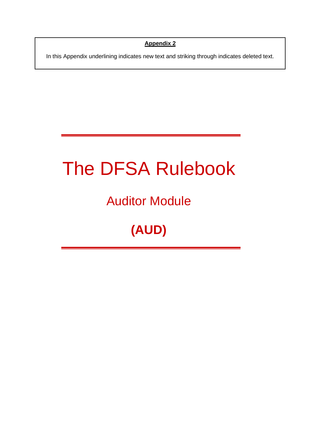**Appendix 2**

In this Appendix underlining indicates new text and striking through indicates deleted text.

# The DFSA Rulebook

# Auditor Module

# **(AUD)**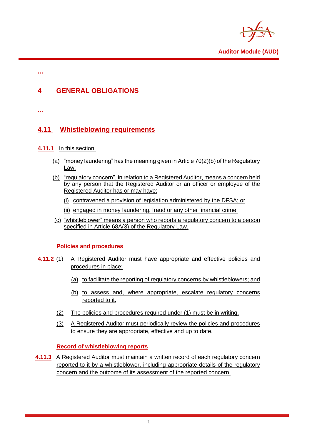

**Auditor Module (AUD)**

**...**

### **4 GENERAL OBLIGATIONS**

**...**

## **4.11 Whistleblowing requirements**

- **4.11.1** In this section:
	- (a) "money laundering" has the meaning given in Article 70(2)(b) of the Regulatory Law;
	- (b) "regulatory concern", in relation to a Registered Auditor, means a concern held by any person that the Registered Auditor or an officer or employee of the Registered Auditor has or may have:
		- (i) contravened a provision of legislation administered by the DFSA; or
		- (ii) engaged in money laundering, fraud or any other financial crime;
	- (c) "whistleblower" means a person who reports a regulatory concern to a person specified in Article 68A(3) of the Regulatory Law.

#### **Policies and procedures**

- **4.11.2** (1) A Registered Auditor must have appropriate and effective policies and procedures in place:
	- (a) to facilitate the reporting of regulatory concerns by whistleblowers; and
	- (b) to assess and, where appropriate, escalate regulatory concerns reported to it.
	- (2) The policies and procedures required under (1) must be in writing.
	- (3) A Registered Auditor must periodically review the policies and procedures to ensure they are appropriate, effective and up to date.

### **Record of whistleblowing reports**

**4.11.3** A Registered Auditor must maintain a written record of each regulatory concern reported to it by a whistleblower, including appropriate details of the regulatory concern and the outcome of its assessment of the reported concern.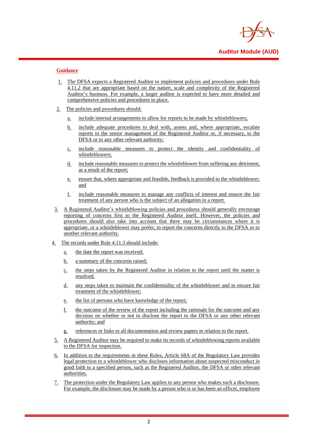

#### **Guidance**

- 1. The DFSA expects a Registered Auditor to implement policies and procedures under Rule 4.11.2 that are appropriate based on the nature, scale and complexity of the Registered Auditor's business. For example, a larger auditor is expected to have more detailed and comprehensive policies and procedures in place.
- 2. The policies and procedures should:
	- a. include internal arrangements to allow for reports to be made by whistleblowers;
	- b. include adequate procedures to deal with, assess and, where appropriate, escalate reports to the senior management of the Registered Auditor or, if necessary, to the DFSA or to any other relevant authority;
	- c. include reasonable measures to protect the identity and confidentiality of whistleblowers;
	- d. include reasonable measures to protect the whistleblower from suffering any detriment, as a result of the report;
	- e. ensure that, where appropriate and feasible, feedback is provided to the whistleblower; and
	- f. include reasonable measures to manage any conflicts of interest and ensure the fair treatment of any person who is the subject of an allegation in a report.
- 3. A Registered Auditor's whistleblowing policies and procedures should generally encourage reporting of concerns first to the Registered Auditor itself. However, the policies and procedures should also take into account that there may be circumstances where it is appropriate, or a whistleblower may prefer, to report the concerns directly to the DFSA or to another relevant authority.
- 4. The records under Rule 4.11.3 should include:
	- a. the date the report was received;
	- b. a summary of the concerns raised;
	- c. the steps taken by the Registered Auditor in relation to the report until the matter is resolved;
	- d. any steps taken to maintain the confidentiality of the whistleblower and to ensure fair treatment of the whistleblower;
	- e. the list of persons who have knowledge of the report;
	- f. the outcome of the review of the report including the rationale for the outcome and any decision on whether or not to disclose the report to the DFSA or any other relevant authority; and
	- g. references or links to all documentation and review papers in relation to the report.
- 5. A Registered Auditor may be required to make its records of whistleblowing reports available to the DFSA for inspection.
- 6. In addition to the requirements in these Rules, Article 68A of the Regulatory Law provides legal protection to a whistleblower who discloses information about suspected misconduct in good faith to a specified person, such as the Registered Auditor, the DFSA or other relevant authorities.
- 7. The protection under the Regulatory Law applies to any person who makes such a disclosure. For example, the disclosure may be made by a person who is or has been an officer, employee